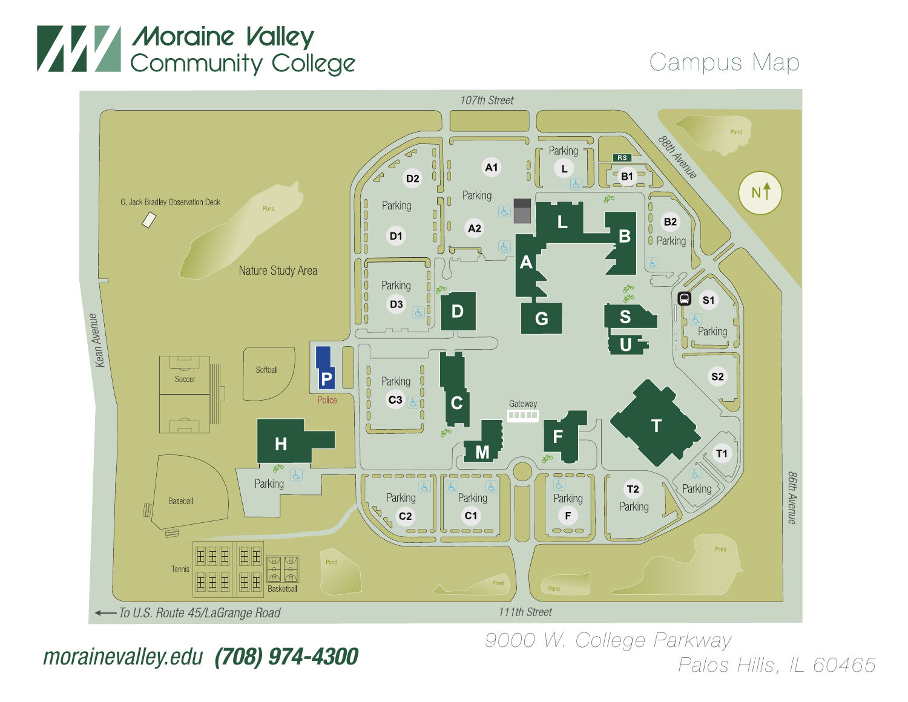## **WANT Moraine Valley<br>Community College**

## Campus Map



## *9000 W. College Parkway morainevalley Palos Hills, IL 60465 .edu (708) 974-4300*